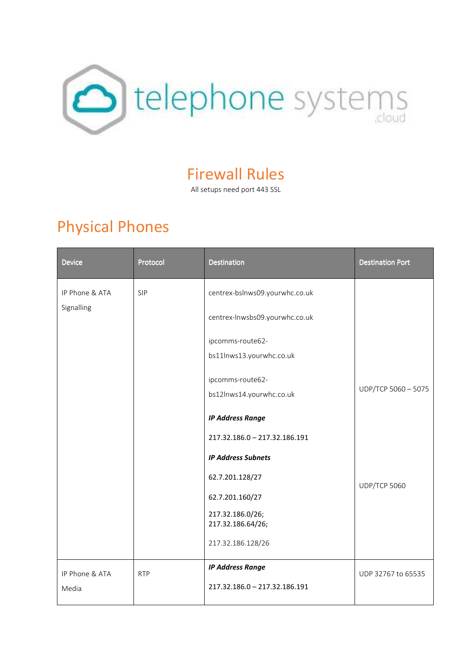

#### Firewall Rules

All setups need port 443 SSL

# Physical Phones

| <b>Device</b>  | Protocol   | <b>Destination</b>                    | <b>Destination Port</b> |
|----------------|------------|---------------------------------------|-------------------------|
| IP Phone & ATA | <b>SIP</b> | centrex-bslnws09.yourwhc.co.uk        |                         |
| Signalling     |            | centrex-lnwsbs09.yourwhc.co.uk        |                         |
|                |            | ipcomms-route62-                      |                         |
|                |            | bs11lnws13.yourwhc.co.uk              |                         |
|                |            | ipcomms-route62-                      |                         |
|                |            | bs12lnws14.yourwhc.co.uk              | UDP/TCP 5060 - 5075     |
|                |            | <b>IP Address Range</b>               |                         |
|                |            | 217.32.186.0 - 217.32.186.191         |                         |
|                |            | <b>IP Address Subnets</b>             |                         |
|                |            | 62.7.201.128/27                       | UDP/TCP 5060            |
|                |            | 62.7.201.160/27                       |                         |
|                |            | 217.32.186.0/26;<br>217.32.186.64/26; |                         |
|                |            | 217.32.186.128/26                     |                         |
| IP Phone & ATA | <b>RTP</b> | <b>IP Address Range</b>               | UDP 32767 to 65535      |
| Media          |            | 217.32.186.0 - 217.32.186.191         |                         |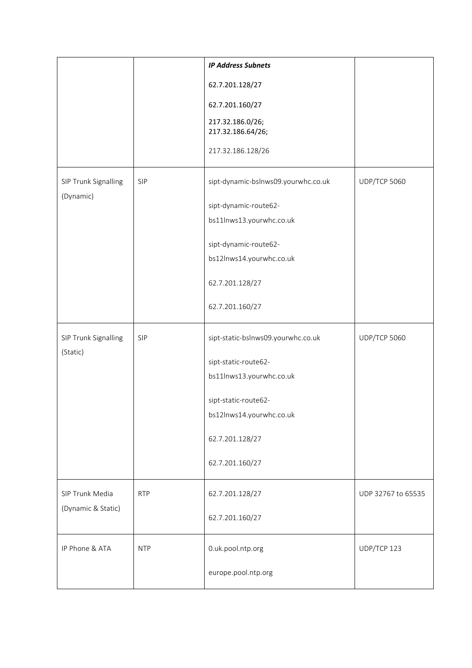|                                   |            | <b>IP Address Subnets</b>             |                     |
|-----------------------------------|------------|---------------------------------------|---------------------|
|                                   |            | 62.7.201.128/27                       |                     |
|                                   |            | 62.7.201.160/27                       |                     |
|                                   |            | 217.32.186.0/26;<br>217.32.186.64/26; |                     |
|                                   |            | 217.32.186.128/26                     |                     |
| SIP Trunk Signalling<br>(Dynamic) | SIP        | sipt-dynamic-bslnws09.yourwhc.co.uk   | <b>UDP/TCP 5060</b> |
|                                   |            | sipt-dynamic-route62-                 |                     |
|                                   |            | bs11lnws13.yourwhc.co.uk              |                     |
|                                   |            | sipt-dynamic-route62-                 |                     |
|                                   |            | bs12lnws14.yourwhc.co.uk              |                     |
|                                   |            | 62.7.201.128/27                       |                     |
|                                   |            | 62.7.201.160/27                       |                     |
| SIP Trunk Signalling<br>(Static)  | SIP        | sipt-static-bslnws09.yourwhc.co.uk    | <b>UDP/TCP 5060</b> |
|                                   |            | sipt-static-route62-                  |                     |
|                                   |            | bs11lnws13.yourwhc.co.uk              |                     |
|                                   |            | sipt-static-route62-                  |                     |
|                                   |            | bs12lnws14.yourwhc.co.uk              |                     |
|                                   |            | 62.7.201.128/27                       |                     |
|                                   |            | 62.7.201.160/27                       |                     |
| SIP Trunk Media                   | <b>RTP</b> | 62.7.201.128/27                       | UDP 32767 to 65535  |
| (Dynamic & Static)                |            | 62.7.201.160/27                       |                     |
| IP Phone & ATA                    | <b>NTP</b> | 0.uk.pool.ntp.org                     | UDP/TCP 123         |
|                                   |            | europe.pool.ntp.org                   |                     |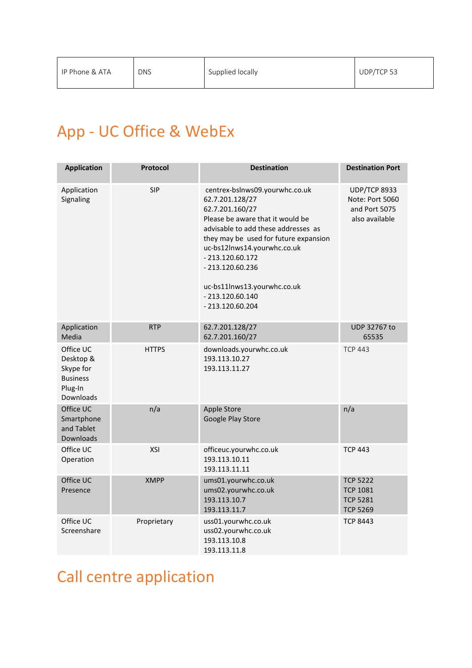#### App - UC Office & WebEx

| <b>Application</b>                                                             | Protocol     | <b>Destination</b>                                                                                                                                                                                                                                                                                                                         | <b>Destination Port</b>                                                   |
|--------------------------------------------------------------------------------|--------------|--------------------------------------------------------------------------------------------------------------------------------------------------------------------------------------------------------------------------------------------------------------------------------------------------------------------------------------------|---------------------------------------------------------------------------|
| Application<br>Signaling                                                       | <b>SIP</b>   | centrex-bslnws09.yourwhc.co.uk<br>62.7.201.128/27<br>62.7.201.160/27<br>Please be aware that it would be<br>advisable to add these addresses as<br>they may be used for future expansion<br>uc-bs12lnws14.yourwhc.co.uk<br>$-213.120.60.172$<br>$-213.120.60.236$<br>uc-bs11lnws13.yourwhc.co.uk<br>$-213.120.60.140$<br>$-213.120.60.204$ | <b>UDP/TCP 8933</b><br>Note: Port 5060<br>and Port 5075<br>also available |
| Application<br>Media                                                           | <b>RTP</b>   | 62.7.201.128/27<br>62.7.201.160/27                                                                                                                                                                                                                                                                                                         | UDP 32767 to<br>65535                                                     |
| Office UC<br>Desktop &<br>Skype for<br><b>Business</b><br>Plug-In<br>Downloads | <b>HTTPS</b> | downloads.yourwhc.co.uk<br>193.113.10.27<br>193.113.11.27                                                                                                                                                                                                                                                                                  | <b>TCP 443</b>                                                            |
| Office UC<br>Smartphone<br>and Tablet<br>Downloads                             | n/a          | Apple Store<br>Google Play Store                                                                                                                                                                                                                                                                                                           | n/a                                                                       |
| Office UC<br>Operation                                                         | XSI          | officeuc.yourwhc.co.uk<br>193.113.10.11<br>193.113.11.11                                                                                                                                                                                                                                                                                   | <b>TCP 443</b>                                                            |
| Office UC<br>Presence                                                          | <b>XMPP</b>  | ums01.yourwhc.co.uk<br>ums02.yourwhc.co.uk<br>193.113.10.7<br>193.113.11.7                                                                                                                                                                                                                                                                 | <b>TCP 5222</b><br><b>TCP 1081</b><br><b>TCP 5281</b><br><b>TCP 5269</b>  |
| Office UC<br>Screenshare                                                       | Proprietary  | uss01.yourwhc.co.uk<br>uss02.yourwhc.co.uk<br>193.113.10.8<br>193.113.11.8                                                                                                                                                                                                                                                                 | <b>TCP 8443</b>                                                           |

## Call centre application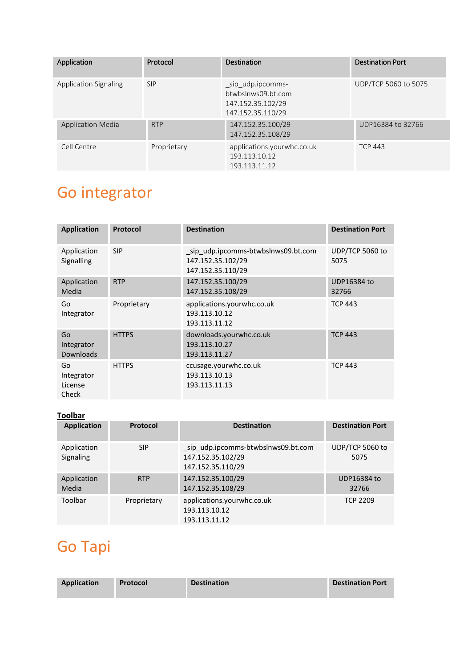| Application                  | Protocol    | <b>Destination</b>                                                                | <b>Destination Port</b> |
|------------------------------|-------------|-----------------------------------------------------------------------------------|-------------------------|
| <b>Application Signaling</b> | <b>SIP</b>  | _sip_udp.ipcomms-<br>btwbslnws09.bt.com<br>147.152.35.102/29<br>147.152.35.110/29 | UDP/TCP 5060 to 5075    |
| <b>Application Media</b>     | <b>RTP</b>  | 147.152.35.100/29<br>147.152.35.108/29                                            | UDP16384 to 32766       |
| Cell Centre                  | Proprietary | applications.yourwhc.co.uk<br>193.113.10.12<br>193.113.11.12                      | <b>TCP 443</b>          |

# Go integrator

| <b>Application</b>                   | Protocol     | <b>Destination</b>                                                           | <b>Destination Port</b> |
|--------------------------------------|--------------|------------------------------------------------------------------------------|-------------------------|
| Application<br>Signalling            | <b>SIP</b>   | sip udp.ipcomms-btwbslnws09.bt.com<br>147.152.35.102/29<br>147.152.35.110/29 | UDP/TCP 5060 to<br>5075 |
| Application<br>Media                 | <b>RTP</b>   | 147.152.35.100/29<br>147.152.35.108/29                                       | UDP16384 to<br>32766    |
| Go<br>Integrator                     | Proprietary  | applications.yourwhc.co.uk<br>193.113.10.12<br>193.113.11.12                 | <b>TCP 443</b>          |
| Go<br>Integrator<br><b>Downloads</b> | <b>HTTPS</b> | downloads.yourwhc.co.uk<br>193.113.10.27<br>193.113.11.27                    | <b>TCP 443</b>          |
| Go<br>Integrator<br>License<br>Check | <b>HTTPS</b> | ccusage.yourwhc.co.uk<br>193.113.10.13<br>193.113.11.13                      | <b>TCP 443</b>          |

#### **Toolbar**

| <b>Application</b>       | Protocol    | <b>Destination</b>                                                           | <b>Destination Port</b>     |
|--------------------------|-------------|------------------------------------------------------------------------------|-----------------------------|
| Application<br>Signaling | <b>SIP</b>  | sip udp.ipcomms-btwbslnws09.bt.com<br>147.152.35.102/29<br>147.152.35.110/29 | UDP/TCP 5060 to<br>5075     |
| Application<br>Media     | <b>RTP</b>  | 147.152.35.100/29<br>147.152.35.108/29                                       | <b>UDP16384 to</b><br>32766 |
| Toolbar                  | Proprietary | applications.yourwhc.co.uk<br>193.113.10.12<br>193.113.11.12                 | <b>TCP 2209</b>             |

## Go Tapi

| <b>Application</b> | Protocol | <b>Destination</b> | <b>Destination Port</b> |
|--------------------|----------|--------------------|-------------------------|
|                    |          |                    |                         |